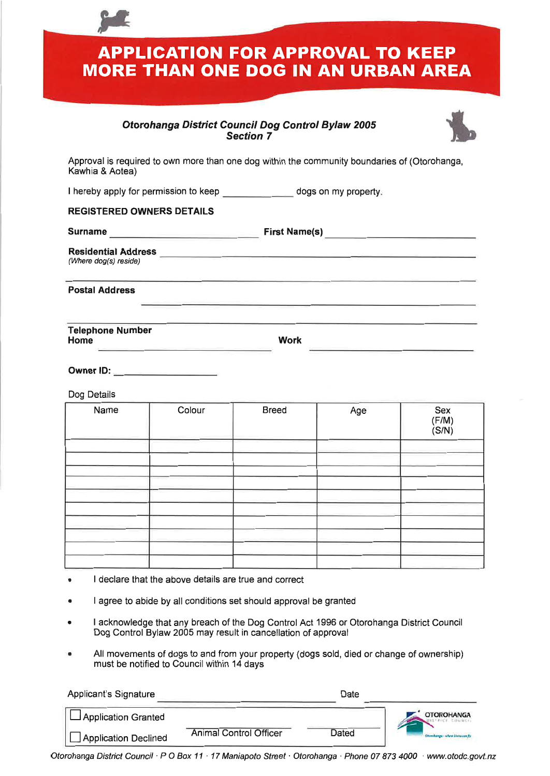**APPLICATION FOR APPROVAL TO KEEP MORE THAN ONE DOG IN AN URBAN AREA** 

## **Otorohanga District Council Dog Control Bylaw 2005 Section 7**



Approval is required to own more than one dog within the community boundaries of (Otorohanga, Kawhia & Aotea)

I hereby apply for permission to keep dogs on my property.

## **REGISTERED OWNERS DETAILS**

**Surname** example and the First Name(s) **First Name** (s)

**Residential Address**  (Where dog(s) reside)

**Postal Address** 

**Telephone Number** 

**Work** 

**Owner ID:** 

Dog Details

| Name | Colour | <b>Breed</b> | Age | Sex<br>$(F/M)$<br>$(S/N)$ |
|------|--------|--------------|-----|---------------------------|
|      |        |              |     |                           |
|      |        |              |     |                           |
|      |        |              |     |                           |
|      |        |              |     |                           |
|      |        |              |     |                           |
|      |        |              |     |                           |
|      |        |              |     |                           |
|      |        |              |     |                           |
|      |        |              |     |                           |
|      |        |              |     |                           |

- I declare that the above details are true and correct
- I agree to abide by all conditions set should approval be granted
- I acknowledge that any breach of the Dog Control Act 1996 or Otorohanga District Council Dog Control Bylaw 2005 may result in cancellation of approval
- All movements of dogs to and from your property (dogs sold, died or change of ownership) must be notified to Council within  $14$  days

| <b>Applicant's Signature</b> |                               | Date  |                                 |
|------------------------------|-------------------------------|-------|---------------------------------|
| <b>LApplication Granted</b>  |                               |       | <b>OTOROHANGA</b>               |
| Application Declined         | <b>Animal Control Officer</b> | Dated | Otamhanga : where kinta can fly |

Otorohanga District Council · P O Box 11 · 17 Maniapoto Street · Otorohanga · Phone 07 873 4000 · www.otodc.govt.nz